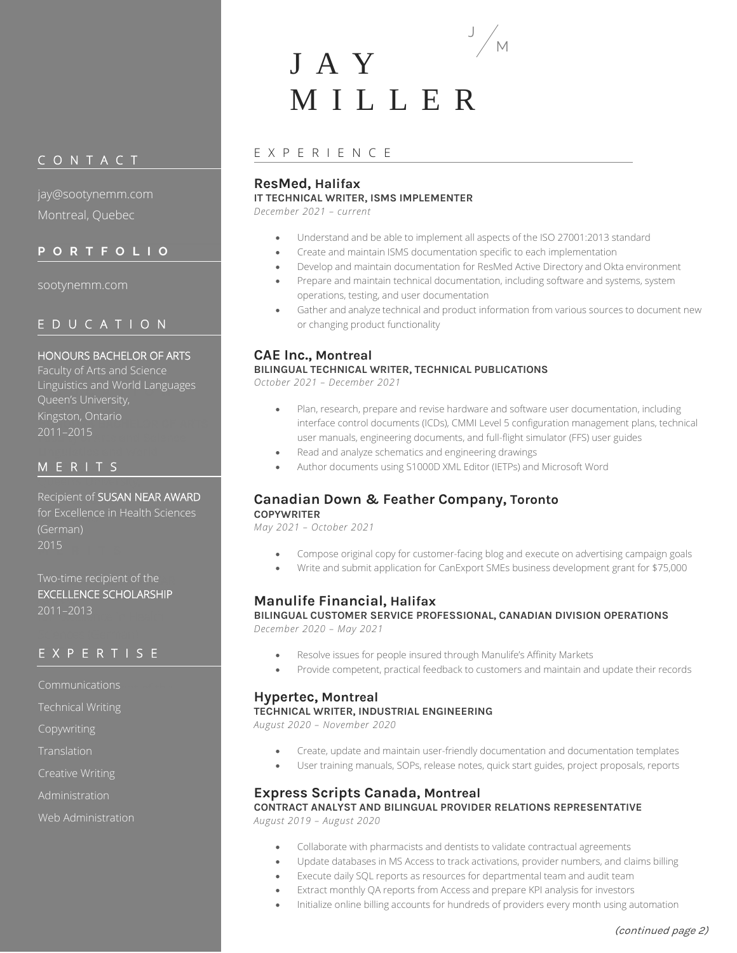# C O N T A C T

jay@sootynemm.com Montreal, Quebec

# **P O R T F O L I O**

sootynemm.com

# E D U C A T I O N

#### HONOURS BACHELOR OF ARTS

Linguistics and World Languages **Kingston, Ontario<br>2011 - 2015** Faculty of Arts and Science 2011–2015 Faculty of Arts and Science Queen's University,

# M E R I T S

Recipient of <mark>SUSAN NEAR AWARD</mark> for Excellence in Health Sciences **M**  $\sim$  2015 (German)

Two-time recipient of the EXCELLENCE SCHOLARSHIP for Excellence in Health 2011–2013

# 2015 E X P E R T I S E

Communications **communications** 

Technical Writing **Scholarship Scholarship** 

Copywriting

Translation

Creative Writing

Administration

Web Administration

# J A Y M I L L E R J

## E X P E R I E N C E

# **ResMed, Halifax**

#### **IT TECHNICAL WRITER, ISMS IMPLEMENTER**

*December 2021 – current*

- Understand and be able to implement all aspects of the ISO 27001:2013 standard
- Create and maintain ISMS documentation specific to each implementation
- Develop and maintain documentation for ResMed Active Directory and Okta environment
- Prepare and maintain technical documentation, including software and systems, system operations, testing, and user documentation
- Gather and analyze technical and product information from various sources to document new or changing product functionality

M

# **CAE Inc., Montreal BILINGUAL TECHNICAL WRITER, TECHNICAL PUBLICATIONS**

*October 2021 – December 2021*

- Plan, research, prepare and revise hardware and software user documentation, including interface control documents (ICDs), CMMI Level 5 configuration management plans, technical user manuals, engineering documents, and full-flight simulator (FFS) user guides
- Read and analyze schematics and engineering drawings
- Author documents using S1000D XML Editor (IETPs) and Microsoft Word

# **Canadian Down & Feather Company, Toronto**

**COPYWRITER** *May 2021 – October 2021*

- Compose original copy for customer-facing blog and execute on advertising campaign goals
- Write and submit application for CanExport SMEs business development grant for \$75,000

# **Manulife Financial, Halifax**

**BILINGUAL CUSTOMER SERVICE PROFESSIONAL, CANADIAN DIVISION OPERATIONS** *December 2020 – May 2021*

- Resolve issues for people insured through Manulife's Affinity Markets
- Provide competent, practical feedback to customers and maintain and update their records

#### **Hypertec, Montreal**

**TECHNICAL WRITER, INDUSTRIAL ENGINEERING**

*August 2020 – November 2020*

- Create, update and maintain user-friendly documentation and documentation templates
- User training manuals, SOPs, release notes, quick start guides, project proposals, reports

# **Express Scripts Canada, Montreal**

**CONTRACT ANALYST AND BILINGUAL PROVIDER RELATIONS REPRESENTATIVE** *August 2019 – August 2020*

- Collaborate with pharmacists and dentists to validate contractual agreements
- Update databases in MS Access to track activations, provider numbers, and claims billing
- Execute daily SQL reports as resources for departmental team and audit team
- Extract monthly QA reports from Access and prepare KPI analysis for investors
	- Initialize online billing accounts for hundreds of providers every month using automation